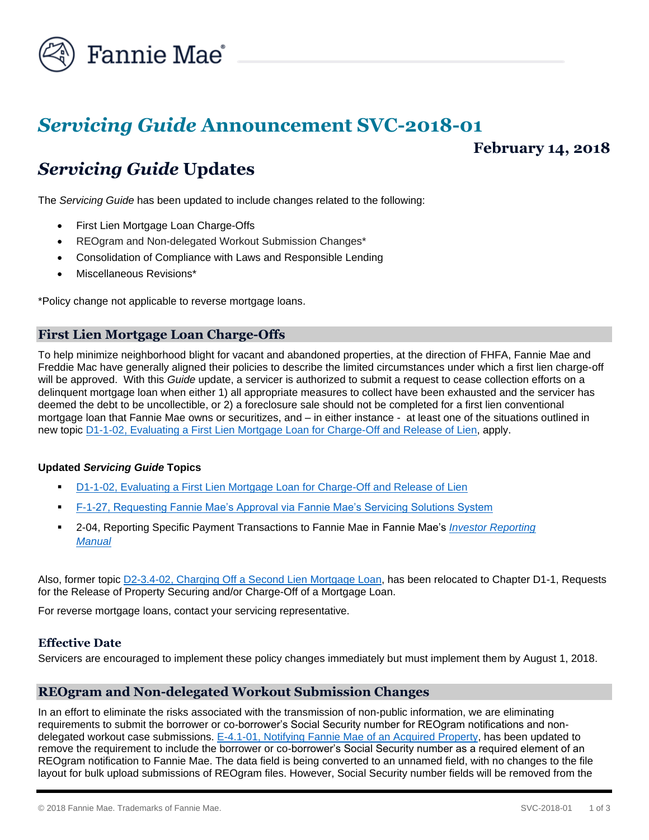

# *Servicing Guide* **Announcement SVC-2018-01**

## **February 14, 2018**

# *Servicing Guide* **Updates**

The *Servicing Guide* has been updated to include changes related to the following:

- First Lien Mortgage Loan Charge-Offs
- REOgram and Non-delegated Workout Submission Changes\*
- Consolidation of Compliance with Laws and Responsible Lending
- Miscellaneous Revisions\*

\*Policy change not applicable to reverse mortgage loans.

### **First Lien Mortgage Loan Charge-Offs**

To help minimize neighborhood blight for vacant and abandoned properties, at the direction of FHFA, Fannie Mae and Freddie Mac have generally aligned their policies to describe the limited circumstances under which a first lien charge-off will be approved. With this *Guide* update, a servicer is authorized to submit a request to cease collection efforts on a delinquent mortgage loan when either 1) all appropriate measures to collect have been exhausted and the servicer has deemed the debt to be uncollectible, or 2) a foreclosure sale should not be completed for a first lien conventional mortgage loan that Fannie Mae owns or securitizes, and – in either instance - at least one of the situations outlined in new topic [D1-1-02, Evaluating a First Lien Mortgage Loan for Charge-Off](https://www.fanniemae.com/content/guide/svc021418.pdf#page=282) and Release of Lien, apply.

#### **Updated** *Servicing Guide* **Topics**

- [D1-1-02, Evaluating a First Lien Mortgage Loan for Charge-Off and Release of Lien](https://www.fanniemae.com/content/guide/svc021418.pdf#page=282)
- [F-1-27, Requesting Fannie Mae's Approval via Fannie Mae's Servicing Solutions System](https://www.fanniemae.com/content/guide/svc021418.pdf#page=711)
- 2-04, Reporting Specific Payment Transactions to Fannie Mae in Fannie Mae's *[Investor Reporting](https://www.fanniemae.com/content/guide/investor-reporting-manual.pdf)  [Manual](https://www.fanniemae.com/content/guide/investor-reporting-manual.pdf)*

Also, former topic D2-3.4-02, Charging Off [a Second Lien Mortgage Loan,](https://www.fanniemae.com/content/guide/svc021418.pdf#page=415) has been relocated to Chapter D1-1, Requests for the Release of Property Securing and/or Charge-Off of a Mortgage Loan.

For reverse mortgage loans, contact your servicing representative.

#### **Effective Date**

Servicers are encouraged to implement these policy changes immediately but must implement them by August 1, 2018.

#### **REOgram and Non-delegated Workout Submission Changes**

In an effort to eliminate the risks associated with the transmission of non-public information, we are eliminating requirements to submit the borrower or co-borrower's Social Security number for REOgram notifications and nondelegated workout case submissions. [E-4.1-01, Notifying Fannie Mae of an Acquired Property,](https://www.fanniemae.com/content/guide/svc021418.pdf#page=505) has been updated to remove the requirement to include the borrower or co-borrower's Social Security number as a required element of an REOgram notification to Fannie Mae. The data field is being converted to an unnamed field, with no changes to the file layout for bulk upload submissions of REOgram files. However, Social Security number fields will be removed from the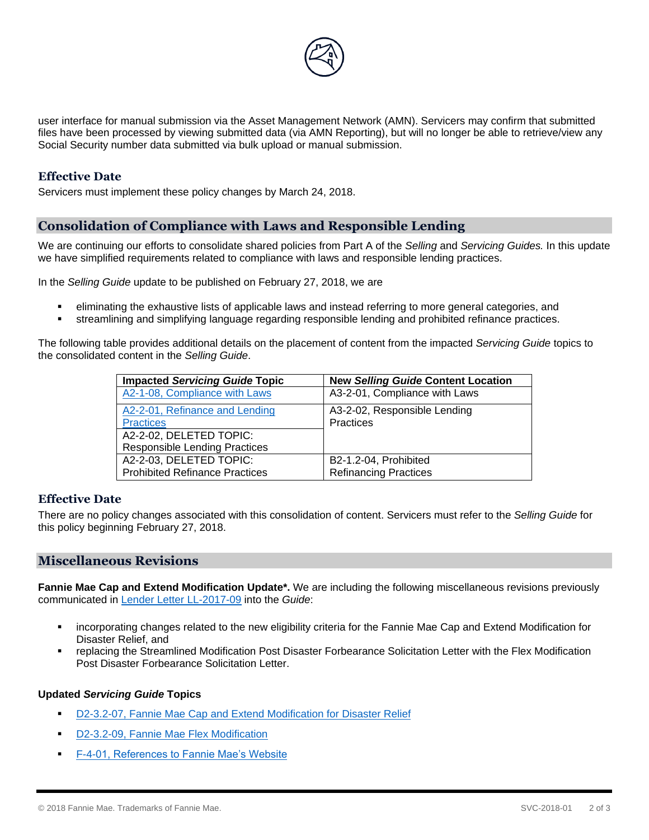

user interface for manual submission via the Asset Management Network (AMN). Servicers may confirm that submitted files have been processed by viewing submitted data (via AMN Reporting), but will no longer be able to retrieve/view any Social Security number data submitted via bulk upload or manual submission.

#### **Effective Date**

Servicers must implement these policy changes by March 24, 2018.

### **Consolidation of Compliance with Laws and Responsible Lending**

We are continuing our efforts to consolidate shared policies from Part A of the *Selling* and *Servicing Guides.* In this update we have simplified requirements related to compliance with laws and responsible lending practices.

In the *Selling Guide* update to be published on February 27, 2018, we are

- eliminating the exhaustive lists of applicable laws and instead referring to more general categories, and
- streamlining and simplifying language regarding responsible lending and prohibited refinance practices.

The following table provides additional details on the placement of content from the impacted *Servicing Guide* topics to the consolidated content in the *Selling Guide*.

| <b>Impacted Servicing Guide Topic</b> | <b>New Selling Guide Content Location</b> |
|---------------------------------------|-------------------------------------------|
| A2-1-08, Compliance with Laws         | A3-2-01, Compliance with Laws             |
| A2-2-01, Refinance and Lending        | A3-2-02, Responsible Lending              |
| <b>Practices</b>                      | Practices                                 |
| A2-2-02, DELETED TOPIC:               |                                           |
| <b>Responsible Lending Practices</b>  |                                           |
| A2-2-03, DELETED TOPIC:               | B2-1.2-04, Prohibited                     |
| <b>Prohibited Refinance Practices</b> | <b>Refinancing Practices</b>              |

#### **Effective Date**

There are no policy changes associated with this consolidation of content. Servicers must refer to the *Selling Guide* for this policy beginning February 27, 2018.

#### **Miscellaneous Revisions**

**Fannie Mae Cap and Extend Modification Update\*.** We are including the following miscellaneous revisions previously communicated in [Lender Letter LL-2017-09](https://www.fanniemae.com/content/announcement/ll1709.pdf) into the *Guide*:

- incorporating changes related to the new eligibility criteria for the Fannie Mae Cap and Extend Modification for Disaster Relief, and
- replacing the Streamlined Modification Post Disaster Forbearance Solicitation Letter with the Flex Modification Post Disaster Forbearance Solicitation Letter.

#### **Updated** *Servicing Guide* **Topics**

- [D2-3.2-07, Fannie Mae Cap and Extend Modification for Disaster Relief](https://www.fanniemae.com/content/guide/svc021418.pdf#page=367)
- [D2-3.2-09, Fannie Mae Flex Modification](https://www.fanniemae.com/content/guide/svc021418.pdf#page=376)
- [F-4-01, References to Fannie Mae's Website](https://www.fanniemae.com/content/guide/svc021418.pdf#page=797)